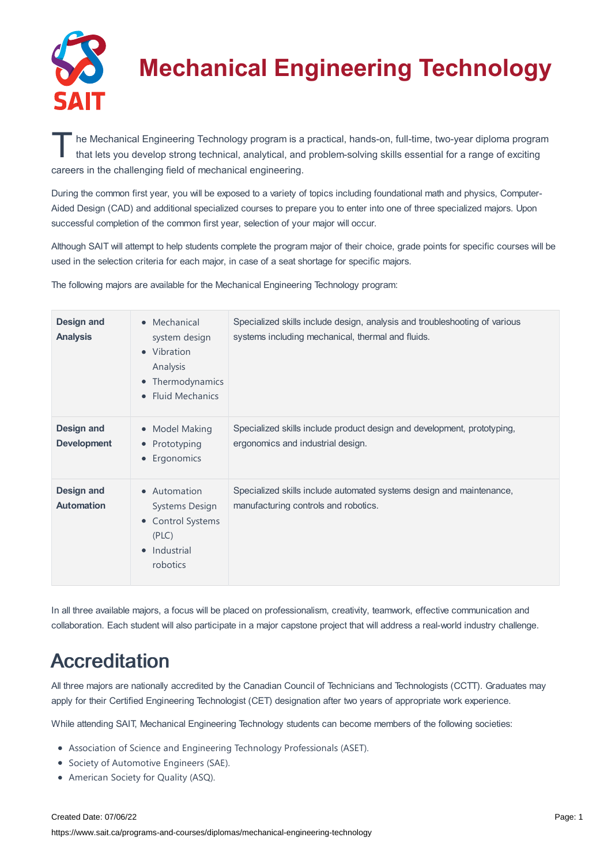

# **Mechanical Engineering Technology**

The Mechanical Engineering Technology program is a practical, hands-on, full-time, two-year diploma program<br>
that lets you develop strong technical, analytical, and problem-solving skills essential for a range of exciting that lets you develop strong technical, analytical, and problem-solving skills essential for a range of exciting careers in the challenging field of mechanical engineering.

During the common first year, you will be exposed to a variety of topics including foundational math and physics, Computer-Aided Design (CAD) and additional specialized courses to prepare you to enter into one of three specialized majors. Upon successful completion of the common first year, selection of your major will occur.

Although SAIT will attempt to help students complete the program major of their choice, grade points for specific courses will be used in the selection criteria for each major, in case of a seat shortage for specific majors.

The following majors are available for the Mechanical Engineering Technology program:

| <b>Design and</b><br><b>Analysis</b>    | Mechanical<br>$\bullet$<br>system design<br>Vibration<br>$\bullet$<br>Analysis<br>Thermodynamics<br>٠<br><b>Fluid Mechanics</b><br>$\bullet$ | Specialized skills include design, analysis and troubleshooting of various<br>systems including mechanical, thermal and fluids. |
|-----------------------------------------|----------------------------------------------------------------------------------------------------------------------------------------------|---------------------------------------------------------------------------------------------------------------------------------|
| <b>Design and</b><br><b>Development</b> | Model Making<br>$\bullet$<br>Prototyping<br>٠<br>Ergonomics<br>٠                                                                             | Specialized skills include product design and development, prototyping,<br>ergonomics and industrial design.                    |
| <b>Design and</b><br><b>Automation</b>  | Automation<br>$\bullet$<br>Systems Design<br><b>Control Systems</b><br>٠<br>(PLC)<br>Industrial<br>$\bullet$<br>robotics                     | Specialized skills include automated systems design and maintenance,<br>manufacturing controls and robotics.                    |

In all three available majors, a focus will be placed on professionalism, creativity, teamwork, effective communication and collaboration. Each student will also participate in a major capstone project that will address a real-world industry challenge.

## Accreditation

All three majors are nationally accredited by the Canadian Council of Technicians and Technologists (CCTT). Graduates may apply for their Certified Engineering Technologist (CET) designation after two years of appropriate work experience.

While attending SAIT, Mechanical Engineering Technology students can become members of the following societies:

- Association of Science and Engineering Technology Professionals (ASET).
- **•** Society of Automotive Engineers (SAE).
- American Society for Quality (ASQ).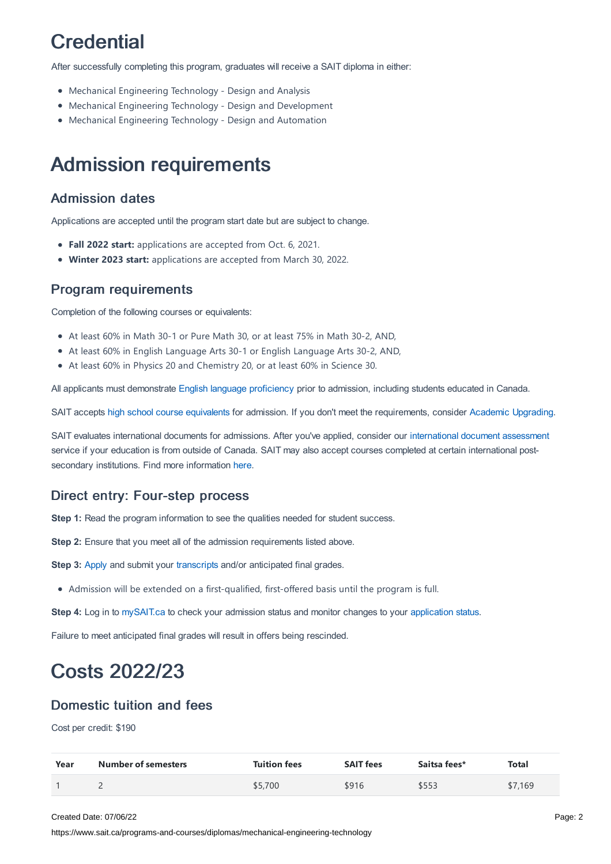## **Credential**

After successfully completing this program, graduates will receive a SAIT diploma in either:

- Mechanical Engineering Technology Design and Analysis
- Mechanical Engineering Technology Design and Development
- Mechanical Engineering Technology Design and Automation

### Admission requirements

#### Admission dates

Applications are accepted until the program start date but are subject to change.

- **Fall 2022 start:** applications are accepted from Oct. 6, 2021.
- **Winter 2023 start:** applications are accepted from March 30, 2022.

#### Program requirements

Completion of the following courses or equivalents:

- At least 60% in Math 30-1 or Pure Math 30, or at least 75% in Math 30-2, AND,
- At least 60% in English Language Arts 30-1 or English Language Arts 30-2, AND,
- At least 60% in Physics 20 and Chemistry 20, or at least 60% in Science 30.

All applicants must demonstrate English language [proficiency](https://www.sait.ca/admissions/before-you-apply/english-proficiency) prior to admission, including students educated in Canada.

SAIT accepts high school course [equivalents](https://www.sait.ca/admissions/before-you-apply/high-school-course-equivalencies) for admission. If you don't meet the requirements, consider Academic [Upgrading.](https://www.sait.ca/programs-and-courses/academic-upgrading)

SAIT evaluates international documents for admissions. After you've applied, consider our [international](https://www.sait.ca/admissions/after-you-apply/international-document-assessment) document assessment service if your education is from outside of Canada. SAIT may also accept courses completed at certain international postsecondary institutions. Find more information [here.](https://www.sait.ca/admissions/after-you-apply/international-institution-academic-partnerships)

#### Direct entry: Four-step process

**Step 1:** Read the program information to see the qualities needed for student success.

**Step 2:** Ensure that you meet all of the admission requirements listed above.

**Step 3:** [Apply](https://www.sait.ca/admissions/apply) and submit your [transcripts](https://www.sait.ca/admissions/after-you-apply/transcripts-and-supporting-documents) and/or anticipated final grades.

Admission will be extended on a first-qualified, first-offered basis until the program is full.

**Step 4:** Log in to [mySAIT.ca](http://www.mysait.ca/) to check your admission status and monitor changes to your [application](https://www.sait.ca/admissions/after-you-apply/tracking-your-application) status.

Failure to meet anticipated final grades will result in offers being rescinded.

## Costs 2022/23

#### Domestic tuition and fees

Cost per credit: \$190

| Year | <b>Number of semesters</b> | <b>Tuition fees</b> | <b>SAIT fees</b> | Saitsa fees* | Total   |
|------|----------------------------|---------------------|------------------|--------------|---------|
|      |                            | \$5,700             | \$916            | \$553        | \$7,169 |

Created Date: 07/06/22

https://www.sait.ca/programs-and-courses/diplomas/mechanical-engineering-technology